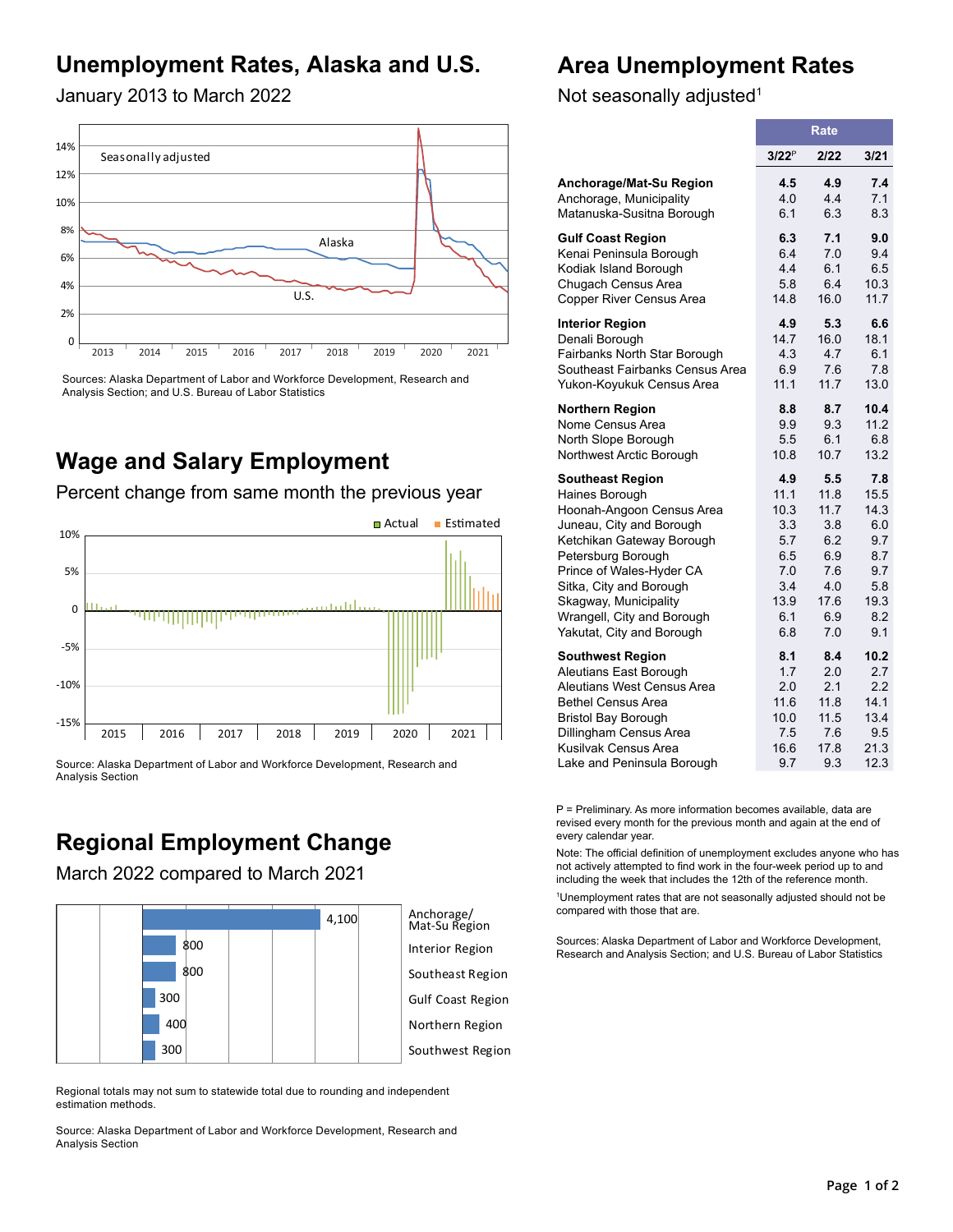# **Unemployment Rates, Alaska and U.S.**

## **Area Unemployment Rates**

January 2013 to March 2022



Sources: Alaska Department of Labor and Workforce Development, Research and Analysis Section; and U.S. Bureau of Labor Statistics

## **Wage and Salary Employment**

Percent change from same month the previous year



Source: Alaska Department of Labor and Workforce Development, Research and Analysis Section

# **Regional Employment Change**

March 2022 compared to March 2021





Interior Region

Southeast Region

Gulf Coast Region

- Northern Region
- Southwest Region

Regional totals may not sum to statewide total due to rounding and independent estimation methods.

Source: Alaska Department of Labor and Workforce Development, Research and Analysis Section

Not seasonally adjusted<sup>1</sup>

|                                 | Rate     |      |      |  |  |
|---------------------------------|----------|------|------|--|--|
|                                 | $3/22^P$ | 2/22 | 3/21 |  |  |
| Anchorage/Mat-Su Region         | 4.5      | 4.9  | 7.4  |  |  |
| Anchorage, Municipality         | 4.0      | 4.4  | 7.1  |  |  |
| Matanuska-Susitna Borough       | 6.1      | 6.3  | 8.3  |  |  |
| <b>Gulf Coast Region</b>        | 6.3      | 7.1  | 9.0  |  |  |
| Kenai Peninsula Borough         | 6.4      | 7.0  | 9.4  |  |  |
| Kodiak Island Borough           | 4.4      | 6.1  | 6.5  |  |  |
| Chugach Census Area             | 5.8      | 6.4  | 10.3 |  |  |
| Copper River Census Area        | 14.8     | 16.0 | 11.7 |  |  |
| <b>Interior Region</b>          | 4.9      | 5.3  | 6.6  |  |  |
| Denali Borough                  | 14.7     | 16.0 | 18.1 |  |  |
| Fairbanks North Star Borough    | 43       | 47   | 6.1  |  |  |
| Southeast Fairbanks Census Area | 6.9      | 7.6  | 7.8  |  |  |
| Yukon-Koyukuk Census Area       | 11.1     | 11.7 | 13.0 |  |  |
| <b>Northern Region</b>          | 8.8      | 8.7  | 10.4 |  |  |
| Nome Census Area                | 9.9      | 9.3  | 11.2 |  |  |
| North Slope Borough             | 5.5      | 6.1  | 6.8  |  |  |
| Northwest Arctic Borough        | 10.8     | 10.7 | 13.2 |  |  |
| <b>Southeast Region</b>         | 4.9      | 5.5  | 7.8  |  |  |
| Haines Borough                  | 11.1     | 11.8 | 15.5 |  |  |
| Hoonah-Angoon Census Area       | 10.3     | 11.7 | 14.3 |  |  |
| Juneau, City and Borough        | 3.3      | 3.8  | 6.0  |  |  |
| Ketchikan Gateway Borough       | 5.7      | 6.2  | 9.7  |  |  |
| Petersburg Borough              | 6.5      | 6.9  | 8.7  |  |  |
| Prince of Wales-Hyder CA        | 7.0      | 7.6  | 9.7  |  |  |
| Sitka, City and Borough         | 3.4      | 4.0  | 5.8  |  |  |
| Skagway, Municipality           | 13.9     | 17.6 | 19.3 |  |  |
| Wrangell, City and Borough      | 6.1      | 6.9  | 8.2  |  |  |
| Yakutat, City and Borough       | 6.8      | 7.0  | 9.1  |  |  |
| <b>Southwest Region</b>         | 8.1      | 8.4  | 10.2 |  |  |
| Aleutians East Borough          | 1.7      | 2.0  | 2.7  |  |  |
| Aleutians West Census Area      | 2.0      | 2.1  | 2.2  |  |  |
| <b>Bethel Census Area</b>       | 11.6     | 11.8 | 14.1 |  |  |
| <b>Bristol Bay Borough</b>      | 10.0     | 11.5 | 13.4 |  |  |
| Dillingham Census Area          | 7.5      | 7.6  | 9.5  |  |  |
| Kusilvak Census Area            | 16.6     | 17.8 | 21.3 |  |  |
| Lake and Peninsula Borough      | 9.7      | 9.3  | 12.3 |  |  |

P = Preliminary. As more information becomes available, data are revised every month for the previous month and again at the end of every calendar year.

Note: The official definition of unemployment excludes anyone who has not actively attempted to find work in the four-week period up to and including the week that includes the 12th of the reference month.

1 Unemployment rates that are not seasonally adjusted should not be compared with those that are.

Sources: Alaska Department of Labor and Workforce Development, Research and Analysis Section; and U.S. Bureau of Labor Statistics